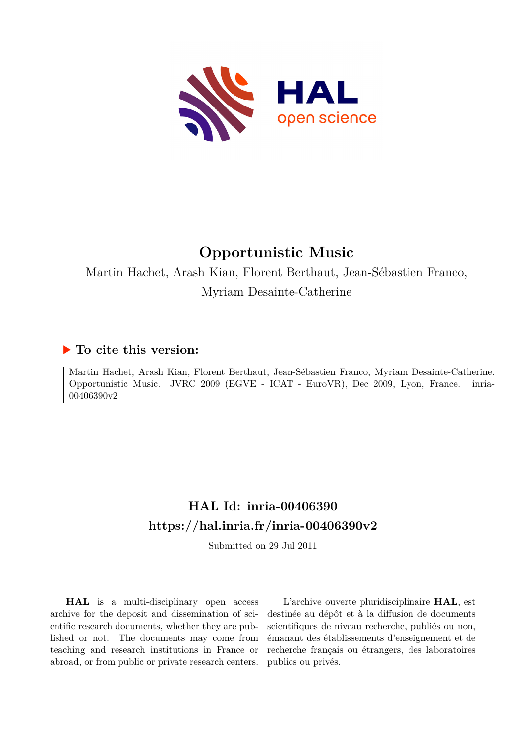

# **Opportunistic Music**

Martin Hachet, Arash Kian, Florent Berthaut, Jean-Sébastien Franco, Myriam Desainte-Catherine

## **To cite this version:**

Martin Hachet, Arash Kian, Florent Berthaut, Jean-Sébastien Franco, Myriam Desainte-Catherine. Opportunistic Music. JVRC 2009 (EGVE - ICAT - EuroVR), Dec 2009, Lyon, France. inria-00406390v2

## **HAL Id: inria-00406390 <https://hal.inria.fr/inria-00406390v2>**

Submitted on 29 Jul 2011

**HAL** is a multi-disciplinary open access archive for the deposit and dissemination of scientific research documents, whether they are published or not. The documents may come from teaching and research institutions in France or abroad, or from public or private research centers.

L'archive ouverte pluridisciplinaire **HAL**, est destinée au dépôt et à la diffusion de documents scientifiques de niveau recherche, publiés ou non, émanant des établissements d'enseignement et de recherche français ou étrangers, des laboratoires publics ou privés.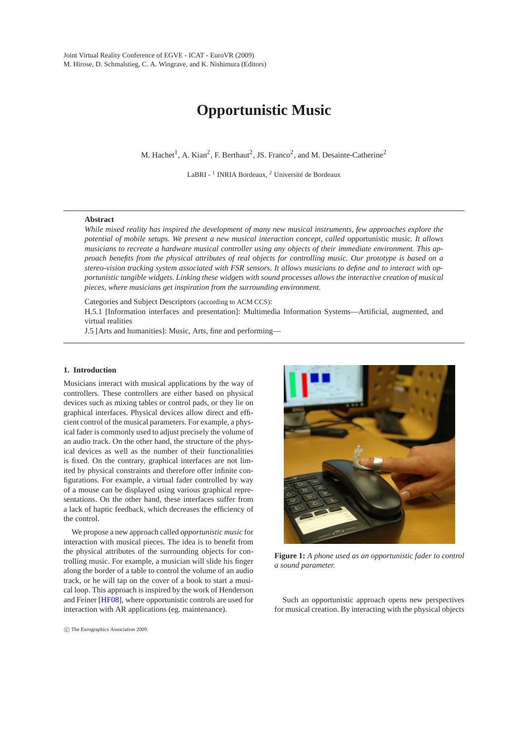## **Opportunistic Music**

M. Hachet<sup>1</sup>, A. Kian<sup>2</sup>, F. Berthaut<sup>2</sup>, JS. Franco<sup>2</sup>, and M. Desainte-Catherine<sup>2</sup>

LaBRI - <sup>1</sup> INRIA Bordeaux, <sup>2</sup> Université de Bordeaux

### **Abstract**

*While mixed reality has inspired the development of many new musical instruments, few approaches explore the potential of mobile setups. We present a new musical interaction concept, called* opportunistic music*. It allows musicians to recreate a hardware musical controller using any objects of their immediate environment. This approach benefits from the physical attributes of real objects for controlling music. Our prototype is based on a stereo-vision tracking system associated with FSR sensors. It allows musicians to define and to interact with opportunistic tangible widgets. Linking these widgets with sound processes allows the interactive creation of musical pieces, where musicians get inspiration from the surrounding environment.*

Categories and Subject Descriptors (according to ACM CCS):

H.5.1 [Information interfaces and presentation]: Multimedia Information Systems—Artificial, augmented, and virtual realities

J.5 [Arts and humanities]: Music, Arts, fine and performing—

## **1. Introduction**

Musicians interact with musical applications by the way of controllers. These controllers are either based on physical devices such as mixing tables or control pads, or they lie on graphical interfaces. Physical devices allow direct and efficient control of the musical parameters. For example, a physical fader is commonly used to adjust precisely the volume of an audio track. On the other hand, the structure of the physical devices as well as the number of their functionalities is fixed. On the contrary, graphical interfaces are not limited by physical constraints and therefore offer infinite configurations. For example, a virtual fader controlled by way of a mouse can be displayed using various graphical representations. On the other hand, these interfaces suffer from a lack of haptic feedback, which decreases the efficiency of the control.

We propose a new approach called *opportunistic music* for interaction with musical pieces. The idea is to benefit from the physical attributes of the surrounding objects for controlling music. For example, a musician will slide his finger along the border of a table to control the volume of an audio track, or he will tap on the cover of a book to start a musical loop. This approach is inspired by the work of Henderson and Feiner [\[HF08\]](#page-7-0), where opportunistic controls are used for interaction with AR applications (eg. maintenance).



**Figure 1:** *A phone used as an opportunistic fader to control a sound parameter.*

<span id="page-1-0"></span>Such an opportunistic approach opens new perspectives for musical creation. By interacting with the physical objects

c The Eurographics Association 2009.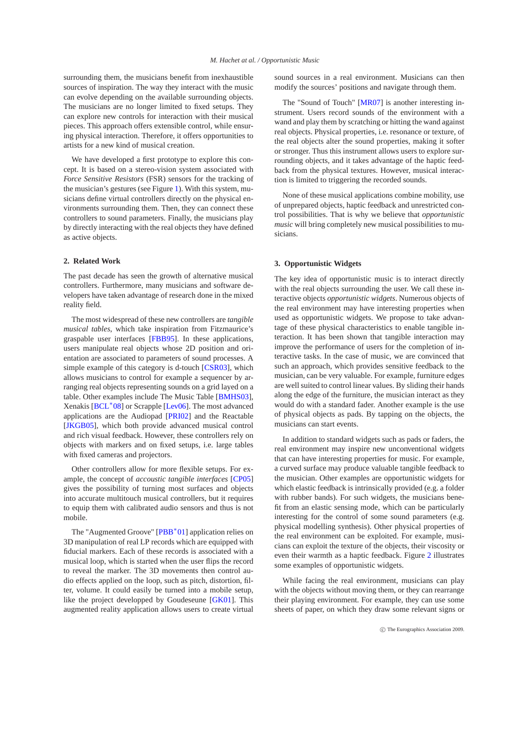surrounding them, the musicians benefit from inexhaustible sources of inspiration. The way they interact with the music can evolve depending on the available surrounding objects. The musicians are no longer limited to fixed setups. They can explore new controls for interaction with their musical pieces. This approach offers extensible control, while ensuring physical interaction. Therefore, it offers opportunities to artists for a new kind of musical creation.

We have developed a first prototype to explore this concept. It is based on a stereo-vision system associated with *Force Sensitive Resistors* (FSR) sensors for the tracking of the musician's gestures (see Figure [1\)](#page-1-0). With this system, musicians define virtual controllers directly on the physical environments surrounding them. Then, they can connect these controllers to sound parameters. Finally, the musicians play by directly interacting with the real objects they have defined as active objects.

## **2. Related Work**

The past decade has seen the growth of alternative musical controllers. Furthermore, many musicians and software developers have taken advantage of research done in the mixed reality field.

The most widespread of these new controllers are *tangible musical tables*, which take inspiration from Fitzmaurice's graspable user interfaces [\[FBB95\]](#page-7-1). In these applications, users manipulate real objects whose 2D position and orientation are associated to parameters of sound processes. A simple example of this category is d-touch [\[CSR03\]](#page-7-2), which allows musicians to control for example a sequencer by arranging real objects representing sounds on a grid layed on a table. Other examples include The Music Table [\[BMHS03\]](#page-7-3), Xenakis [\[BCL](#page-7-4)<sup>\*</sup>08] or Scrapple [\[Lev06\]](#page-7-5). The most advanced applications are the Audiopad [\[PRI02\]](#page-7-6) and the Reactable [\[JKGB05\]](#page-7-7), which both provide advanced musical control and rich visual feedback. However, these controllers rely on objects with markers and on fixed setups, i.e. large tables with fixed cameras and projectors.

Other controllers allow for more flexible setups. For example, the concept of *accoustic tangible interfaces* [\[CP05\]](#page-7-8) gives the possibility of turning most surfaces and objects into accurate multitouch musical controllers, but it requires to equip them with calibrated audio sensors and thus is not mobile.

The "Augmented Groove" [\[PBB](#page-7-9)<sup>\*01</sup>] application relies on 3D manipulation of real LP records which are equipped with fiducial markers. Each of these records is associated with a musical loop, which is started when the user flips the record to reveal the marker. The 3D movements then control audio effects applied on the loop, such as pitch, distortion, filter, volume. It could easily be turned into a mobile setup, like the project developped by Goudeseune [\[GK01\]](#page-7-10). This augmented reality application allows users to create virtual

sound sources in a real environment. Musicians can then modify the sources' positions and navigate through them.

The "Sound of Touch" [\[MR07\]](#page-7-11) is another interesting instrument. Users record sounds of the environment with a wand and play them by scratching or hitting the wand against real objects. Physical properties, i.e. resonance or texture, of the real objects alter the sound properties, making it softer or stronger. Thus this instrument allows users to explore surrounding objects, and it takes advantage of the haptic feedback from the physical textures. However, musical interaction is limited to triggering the recorded sounds.

None of these musical applications combine mobility, use of unprepared objects, haptic feedback and unrestricted control possibilities. That is why we believe that *opportunistic music* will bring completely new musical possibilities to musicians.

#### **3. Opportunistic Widgets**

The key idea of opportunistic music is to interact directly with the real objects surrounding the user. We call these interactive objects *opportunistic widgets*. Numerous objects of the real environment may have interesting properties when used as opportunistic widgets. We propose to take advantage of these physical characteristics to enable tangible interaction. It has been shown that tangible interaction may improve the performance of users for the completion of interactive tasks. In the case of music, we are convinced that such an approach, which provides sensitive feedback to the musician, can be very valuable. For example, furniture edges are well suited to control linear values. By sliding their hands along the edge of the furniture, the musician interact as they would do with a standard fader. Another example is the use of physical objects as pads. By tapping on the objects, the musicians can start events.

In addition to standard widgets such as pads or faders, the real environment may inspire new unconventional widgets that can have interesting properties for music. For example, a curved surface may produce valuable tangible feedback to the musician. Other examples are opportunistic widgets for which elastic feedback is intrinsically provided (e.g. a folder with rubber bands). For such widgets, the musicians benefit from an elastic sensing mode, which can be particularly interesting for the control of some sound parameters (e.g. physical modelling synthesis). Other physical properties of the real environment can be exploited. For example, musicians can exploit the texture of the objects, their viscosity or even their warmth as a haptic feedback. Figure [2](#page-3-0) illustrates some examples of opportunistic widgets.

While facing the real environment, musicians can play with the objects without moving them, or they can rearrange their playing environment. For example, they can use some sheets of paper, on which they draw some relevant signs or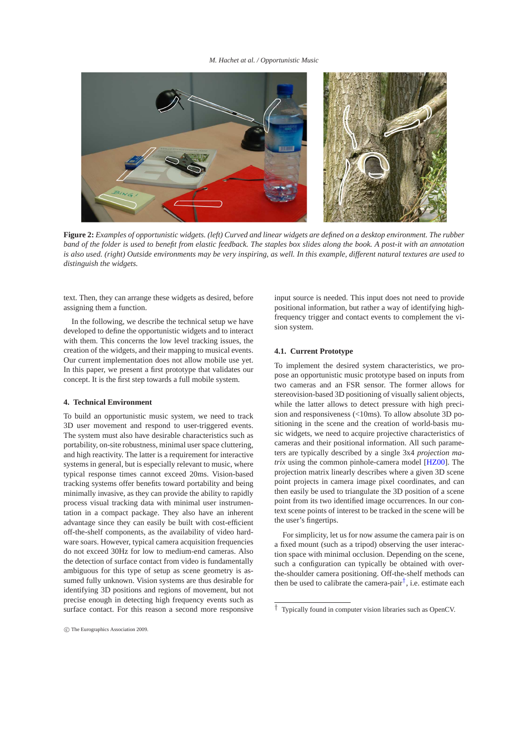*M. Hachet at al. / Opportunistic Music*



**Figure 2:** *Examples of opportunistic widgets. (left) Curved and linear widgets are defined on a desktop environment. The rubber band of the folder is used to benefit from elastic feedback. The staples box slides along the book. A post-it with an annotation is also used. (right) Outside environments may be very inspiring, as well. In this example, different natural textures are used to distinguish the widgets.*

<span id="page-3-0"></span>text. Then, they can arrange these widgets as desired, before assigning them a function.

In the following, we describe the technical setup we have developed to define the opportunistic widgets and to interact with them. This concerns the low level tracking issues, the creation of the widgets, and their mapping to musical events. Our current implementation does not allow mobile use yet. In this paper, we present a first prototype that validates our concept. It is the first step towards a full mobile system.

## **4. Technical Environment**

To build an opportunistic music system, we need to track 3D user movement and respond to user-triggered events. The system must also have desirable characteristics such as portability, on-site robustness, minimal user space cluttering, and high reactivity. The latter is a requirement for interactive systems in general, but is especially relevant to music, where typical response times cannot exceed 20ms. Vision-based tracking systems offer benefits toward portability and being minimally invasive, as they can provide the ability to rapidly process visual tracking data with minimal user instrumentation in a compact package. They also have an inherent advantage since they can easily be built with cost-efficient off-the-shelf components, as the availability of video hardware soars. However, typical camera acquisition frequencies do not exceed 30Hz for low to medium-end cameras. Also the detection of surface contact from video is fundamentally ambiguous for this type of setup as scene geometry is assumed fully unknown. Vision systems are thus desirable for identifying 3D positions and regions of movement, but not precise enough in detecting high frequency events such as surface contact. For this reason a second more responsive

c The Eurographics Association 2009.

input source is needed. This input does not need to provide positional information, but rather a way of identifying highfrequency trigger and contact events to complement the vision system.

## **4.1. Current Prototype**

To implement the desired system characteristics, we propose an opportunistic music prototype based on inputs from two cameras and an FSR sensor. The former allows for stereovision-based 3D positioning of visually salient objects, while the latter allows to detect pressure with high precision and responsiveness (<10ms). To allow absolute 3D positioning in the scene and the creation of world-basis music widgets, we need to acquire projective characteristics of cameras and their positional information. All such parameters are typically described by a single 3x4 *projection matrix* using the common pinhole-camera model [\[HZ00\]](#page-7-12). The projection matrix linearly describes where a given 3D scene point projects in camera image pixel coordinates, and can then easily be used to triangulate the 3D position of a scene point from its two identified image occurrences. In our context scene points of interest to be tracked in the scene will be the user's fingertips.

For simplicity, let us for now assume the camera pair is on a fixed mount (such as a tripod) observing the user interaction space with minimal occlusion. Depending on the scene, such a configuration can typically be obtained with overthe-shoulder camera positioning. Off-the-shelf methods can then be used to calibrate the camera-pair<sup>[†](#page-3-1)</sup>, i.e. estimate each

<span id="page-3-1"></span><sup>†</sup> Typically found in computer vision libraries such as OpenCV.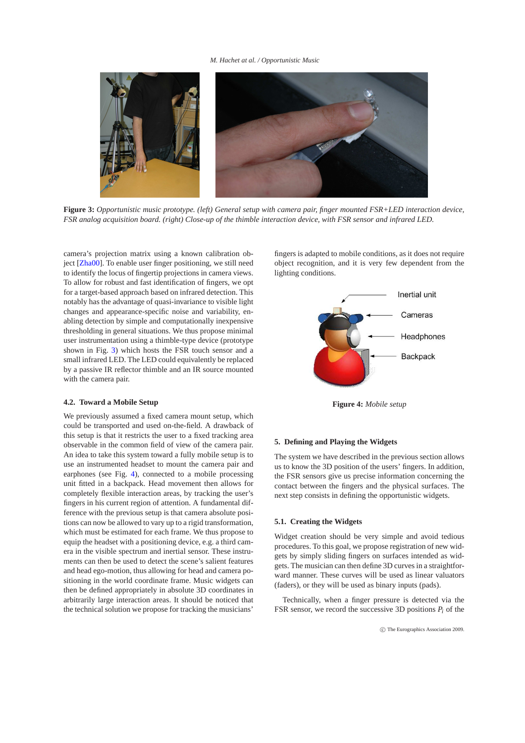#### *M. Hachet at al. / Opportunistic Music*



**Figure 3:** *Opportunistic music prototype. (left) General setup with camera pair, finger mounted FSR+LED interaction device, FSR analog acquisition board. (right) Close-up of the thimble interaction device, with FSR sensor and infrared LED.*

<span id="page-4-0"></span>camera's projection matrix using a known calibration ob-ject [\[Zha00\]](#page-7-13). To enable user finger positioning, we still need to identify the locus of fingertip projections in camera views. To allow for robust and fast identification of fingers, we opt for a target-based approach based on infrared detection. This notably has the advantage of quasi-invariance to visible light changes and appearance-specific noise and variability, enabling detection by simple and computationally inexpensive thresholding in general situations. We thus propose minimal user instrumentation using a thimble-type device (prototype shown in Fig. [3\)](#page-4-0) which hosts the FSR touch sensor and a small infrared LED. The LED could equivalently be replaced by a passive IR reflector thimble and an IR source mounted with the camera pair.

## **4.2. Toward a Mobile Setup**

We previously assumed a fixed camera mount setup, which could be transported and used on-the-field. A drawback of this setup is that it restricts the user to a fixed tracking area observable in the common field of view of the camera pair. An idea to take this system toward a fully mobile setup is to use an instrumented headset to mount the camera pair and earphones (see Fig. [4\)](#page-4-1), connected to a mobile processing unit fitted in a backpack. Head movement then allows for completely flexible interaction areas, by tracking the user's fingers in his current region of attention. A fundamental difference with the previous setup is that camera absolute positions can now be allowed to vary up to a rigid transformation, which must be estimated for each frame. We thus propose to equip the headset with a positioning device, e.g. a third camera in the visible spectrum and inertial sensor. These instruments can then be used to detect the scene's salient features and head ego-motion, thus allowing for head and camera positioning in the world coordinate frame. Music widgets can then be defined appropriately in absolute 3D coordinates in arbitrarily large interaction areas. It should be noticed that the technical solution we propose for tracking the musicians'

fingers is adapted to mobile conditions, as it does not require object recognition, and it is very few dependent from the lighting conditions.



<span id="page-4-1"></span>**Figure 4:** *Mobile setup*

### **5. Defining and Playing the Widgets**

The system we have described in the previous section allows us to know the 3D position of the users' fingers. In addition, the FSR sensors give us precise information concerning the contact between the fingers and the physical surfaces. The next step consists in defining the opportunistic widgets.

#### **5.1. Creating the Widgets**

Widget creation should be very simple and avoid tedious procedures. To this goal, we propose registration of new widgets by simply sliding fingers on surfaces intended as widgets. The musician can then define 3D curves in a straightforward manner. These curves will be used as linear valuators (faders), or they will be used as binary inputs (pads).

Technically, when a finger pressure is detected via the FSR sensor, we record the successive 3D positions  $P_i$  of the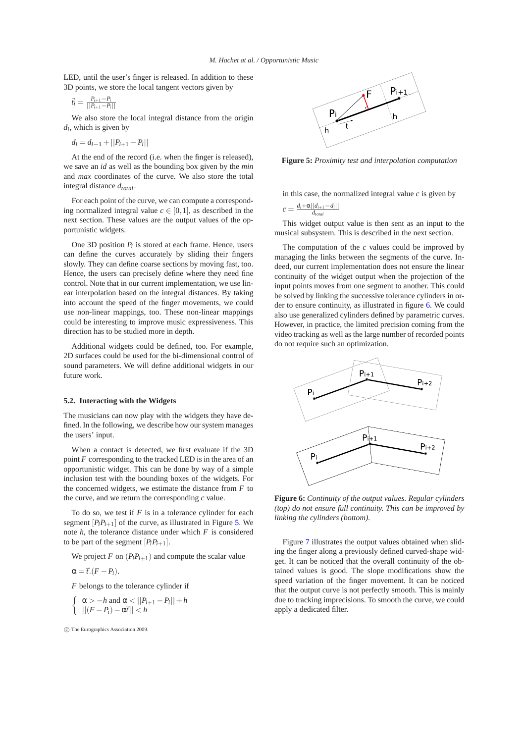LED, until the user's finger is released. In addition to these 3D points, we store the local tangent vectors given by

$$
\vec{t}_i = \frac{P_{i+1} - P_i}{\left|\left|P_{i+1} - P_i\right|\right|}
$$

We also store the local integral distance from the origin *di* , which is given by

$$
d_i = d_{i-1} + ||P_{i+1} - P_i||
$$

At the end of the record (i.e. when the finger is released), we save an *id* as well as the bounding box given by the *min* and *max* coordinates of the curve. We also store the total integral distance *dtotal*.

For each point of the curve, we can compute a corresponding normalized integral value  $c \in [0,1]$ , as described in the next section. These values are the output values of the opportunistic widgets.

One 3D position  $P_i$  is stored at each frame. Hence, users can define the curves accurately by sliding their fingers slowly. They can define coarse sections by moving fast, too. Hence, the users can precisely define where they need fine control. Note that in our current implementation, we use linear interpolation based on the integral distances. By taking into account the speed of the finger movements, we could use non-linear mappings, too. These non-linear mappings could be interesting to improve music expressiveness. This direction has to be studied more in depth.

Additional widgets could be defined, too. For example, 2D surfaces could be used for the bi-dimensional control of sound parameters. We will define additional widgets in our future work.

## **5.2. Interacting with the Widgets**

The musicians can now play with the widgets they have defined. In the following, we describe how our system manages the users' input.

When a contact is detected, we first evaluate if the 3D point *F* corresponding to the tracked LED is in the area of an opportunistic widget. This can be done by way of a simple inclusion test with the bounding boxes of the widgets. For the concerned widgets, we estimate the distance from *F* to the curve, and we return the corresponding *c* value.

To do so, we test if *F* is in a tolerance cylinder for each segment  $[P_iP_{i+1}]$  of the curve, as illustrated in Figure [5.](#page-5-0) We note *h*, the tolerance distance under which *F* is considered to be part of the segment  $[P_iP_{i+1}]$ .

We project *F* on  $(P_i P_{i+1})$  and compute the scalar value

$$
\alpha = \vec{t} \cdot (F - P_i).
$$

*F* belongs to the tolerance cylinder if

$$
\begin{cases} \alpha > -h \text{ and } \alpha < ||P_{i+1} - P_i|| + h \\ ||(F - P_i) - \alpha \vec{r}|| < h \end{cases}
$$

c The Eurographics Association 2009.



<span id="page-5-0"></span>**Figure 5:** *Proximity test and interpolation computation*

in this case, the normalized integral value *c* is given by

$$
c = \frac{d_i + \alpha ||d_{i+1} - d_i||}{d_{total}}
$$

This widget output value is then sent as an input to the musical subsystem. This is described in the next section.

The computation of the *c* values could be improved by managing the links between the segments of the curve. Indeed, our current implementation does not ensure the linear continuity of the widget output when the projection of the input points moves from one segment to another. This could be solved by linking the successive tolerance cylinders in order to ensure continuity, as illustrated in figure [6.](#page-5-1) We could also use generalized cylinders defined by parametric curves. However, in practice, the limited precision coming from the video tracking as well as the large number of recorded points do not require such an optimization.



<span id="page-5-1"></span>**Figure 6:** *Continuity of the output values. Regular cylinders (top) do not ensure full continuity. This can be improved by linking the cylinders (bottom).*

Figure [7](#page-6-0) illustrates the output values obtained when sliding the finger along a previously defined curved-shape widget. It can be noticed that the overall continuity of the obtained values is good. The slope modifications show the speed variation of the finger movement. It can be noticed that the output curve is not perfectly smooth. This is mainly due to tracking imprecisions. To smooth the curve, we could apply a dedicated filter.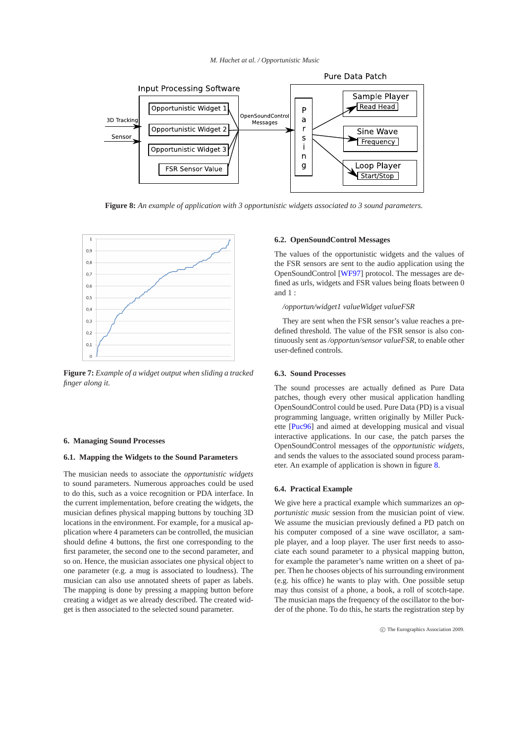#### *M. Hachet at al. / Opportunistic Music*



<span id="page-6-1"></span>**Figure 8:** *An example of application with 3 opportunistic widgets associated to 3 sound parameters.*



<span id="page-6-0"></span>**Figure 7:** *Example of a widget output when sliding a tracked finger along it.*

#### **6. Managing Sound Processes**

#### **6.1. Mapping the Widgets to the Sound Parameters**

The musician needs to associate the *opportunistic widgets* to sound parameters. Numerous approaches could be used to do this, such as a voice recognition or PDA interface. In the current implementation, before creating the widgets, the musician defines physical mapping buttons by touching 3D locations in the environment. For example, for a musical application where 4 parameters can be controlled, the musician should define 4 buttons, the first one corresponding to the first parameter, the second one to the second parameter, and so on. Hence, the musician associates one physical object to one parameter (e.g. a mug is associated to loudness). The musician can also use annotated sheets of paper as labels. The mapping is done by pressing a mapping button before creating a widget as we already described. The created widget is then associated to the selected sound parameter.

## **6.2. OpenSoundControl Messages**

The values of the opportunistic widgets and the values of the FSR sensors are sent to the audio application using the OpenSoundControl [\[WF97\]](#page-7-14) protocol. The messages are defined as urls, widgets and FSR values being floats between 0 and 1 :

## */opportun/widget1 valueWidget valueFSR*

They are sent when the FSR sensor's value reaches a predefined threshold. The value of the FSR sensor is also continuously sent as */opportun/sensor valueFSR*, to enable other user-defined controls.

## **6.3. Sound Processes**

The sound processes are actually defined as Pure Data patches, though every other musical application handling OpenSoundControl could be used. Pure Data (PD) is a visual programming language, written originally by Miller Puckette [\[Puc96\]](#page-7-15) and aimed at developping musical and visual interactive applications. In our case, the patch parses the OpenSoundControl messages of the *opportunistic widgets*, and sends the values to the associated sound process parameter. An example of application is shown in figure [8.](#page-6-1)

## **6.4. Practical Example**

We give here a practical example which summarizes an *opportunistic music* session from the musician point of view. We assume the musician previously defined a PD patch on his computer composed of a sine wave oscillator, a sample player, and a loop player. The user first needs to associate each sound parameter to a physical mapping button, for example the parameter's name written on a sheet of paper. Then he chooses objects of his surrounding environment (e.g. his office) he wants to play with. One possible setup may thus consist of a phone, a book, a roll of scotch-tape. The musician maps the frequency of the oscillator to the border of the phone. To do this, he starts the registration step by